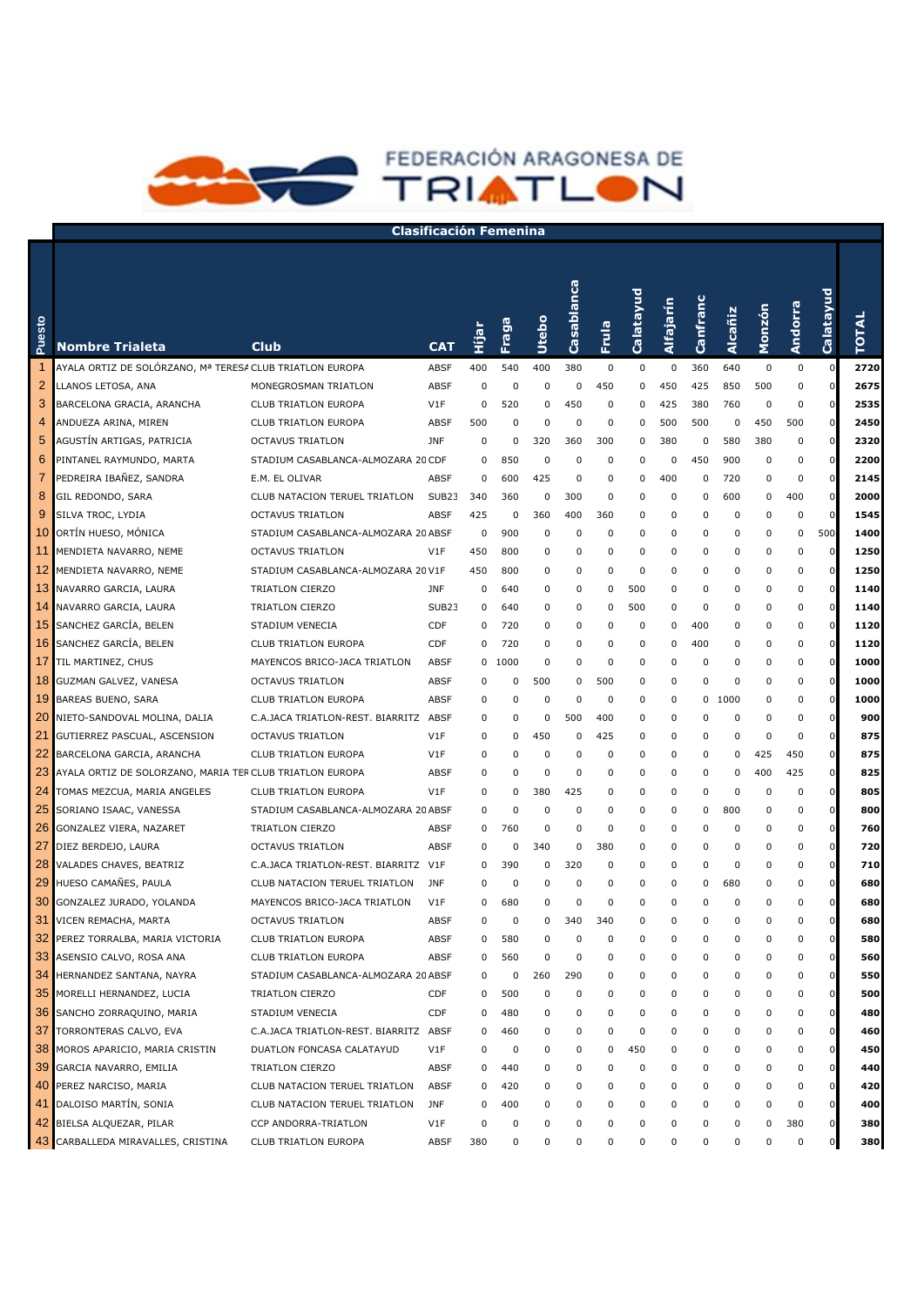

## **Clasificación Femenina**

FEDERACIÓN ARAGONESA DE

| Puesto         | <b>Nombre Trialeta</b>                                   | <b>Club</b>                           | <b>CAT</b>        | ie<br>EiH   | Fraga       | <b>Utebo</b> | Casablanca | Frula       | Calatayud | Alfajarín   | Canfranc | Alcañiz  | Monzón      | <b>Andorra</b> | Calatayud      | <b>TOTAL</b> |
|----------------|----------------------------------------------------------|---------------------------------------|-------------------|-------------|-------------|--------------|------------|-------------|-----------|-------------|----------|----------|-------------|----------------|----------------|--------------|
|                | AYALA ORTIZ DE SOLÓRZANO, Mª TERESA CLUB TRIATLON EUROPA |                                       | <b>ABSF</b>       | 400         | 540         | 400          | 380        | $\mathbf 0$ | 0         | $\mathbf 0$ | 360      | 640      | $\pmb{0}$   | 0              | $\mathbf 0$    | 2720         |
| $\overline{2}$ | LLANOS LETOSA, ANA                                       | MONEGROSMAN TRIATLON                  | <b>ABSF</b>       | $\mathbf 0$ | 0           | $\mathbf 0$  | 0          | 450         | 0         | 450         | 425      | 850      | 500         | 0              | $\mathbf 0$    | 2675         |
| 3              | BARCELONA GRACIA, ARANCHA                                | <b>CLUB TRIATLON EUROPA</b>           | V1F               | $\Omega$    | 520         | $\mathbf 0$  | 450        | 0           | 0         | 425         | 380      | 760      | 0           | 0              | $\mathbf 0$    | 2535         |
| 4              | ANDUEZA ARINA, MIREN                                     | CLUB TRIATLON EUROPA                  | <b>ABSF</b>       | 500         | 0           | $\mathbf 0$  | 0          | 0           | 0         | 500         | 500      | 0        | 450         | 500            | $\mathbf 0$    | 2450         |
| 5              | AGUSTÍN ARTIGAS, PATRICIA                                | <b>OCTAVUS TRIATLON</b>               | <b>JNF</b>        | 0           | 0           | 320          | 360        | 300         | 0         | 380         | 0        | 580      | 380         | 0              | $\mathbf 0$    | 2320         |
| 6              | PINTANEL RAYMUNDO, MARTA                                 | STADIUM CASABLANCA-ALMOZARA 20 CDF    |                   | 0           | 850         | 0            | 0          | 0           | 0         | 0           | 450      | 900      | 0           | 0              | $\mathbf 0$    | 2200         |
| 7              | PEDREIRA IBAÑEZ, SANDRA                                  | E.M. EL OLIVAR                        | <b>ABSF</b>       | 0           | 600         | 425          | 0          | 0           | 0         | 400         | 0        | 720      | 0           | 0              | $\mathbf 0$    | 2145         |
| 8              | GIL REDONDO, SARA                                        | CLUB NATACION TERUEL TRIATLON         | SUB <sub>23</sub> | 340         | 360         | 0            | 300        | 0           | 0         | 0           | 0        | 600      | 0           | 400            | $\mathbf 0$    | 2000         |
| 9              | SILVA TROC, LYDIA                                        | <b>OCTAVUS TRIATLON</b>               | <b>ABSF</b>       | 425         | 0           | 360          | 400        | 360         | 0         | 0           | 0        | 0        | 0           | $\mathbf 0$    | $\mathbf 0$    | 1545         |
| 10             | ORTÍN HUESO, MÓNICA                                      | STADIUM CASABLANCA-ALMOZARA 20 ABSF   |                   | 0           | 900         | $\mathbf 0$  | 0          | 0           | 0         | 0           | 0        | 0        | 0           | 0              | 500            | 1400         |
| 11             | MENDIETA NAVARRO, NEME                                   | <b>OCTAVUS TRIATLON</b>               | V1F               | 450         | 800         | $\mathbf 0$  | 0          | 0           | 0         | 0           | 0        | 0        | 0           | 0              | $\mathbf 0$    | 1250         |
| 12             | MENDIETA NAVARRO, NEME                                   | STADIUM CASABLANCA-ALMOZARA 20 V1F    |                   | 450         | 800         | $\mathbf 0$  | 0          | 0           | 0         | 0           | 0        | 0        | 0           | $\mathbf 0$    | $\mathbf 0$    | 1250         |
| 13             | NAVARRO GARCIA, LAURA                                    | TRIATLON CIERZO                       | <b>JNF</b>        | 0           | 640         | $\mathbf 0$  | 0          | 0           | 500       | 0           | 0        | 0        | 0           | $\mathbf 0$    | $\mathbf 0$    | 1140         |
| 14             | NAVARRO GARCIA, LAURA                                    | TRIATLON CIERZO                       | SUB <sub>23</sub> | 0           | 640         | $\mathbf 0$  | 0          | 0           | 500       | 0           | 0        | 0        | 0           | 0              | $\mathbf 0$    | 1140         |
| 15             | SANCHEZ GARCÍA, BELEN                                    | STADIUM VENECIA                       | CDF               | 0           | 720         | $\mathbf 0$  | 0          | 0           | 0         | 0           | 400      | 0        | 0           | $\mathbf 0$    | $\mathbf 0$    | 1120         |
| 16             | SANCHEZ GARCÍA, BELEN                                    | <b>CLUB TRIATLON EUROPA</b>           | CDF               | 0           | 720         | $\mathbf 0$  | 0          | 0           | 0         | 0           | 400      | 0        | 0           | $\mathbf 0$    | $\mathbf 0$    | 1120         |
| 17             | TIL MARTINEZ, CHUS                                       | MAYENCOS BRICO-JACA TRIATLON          | <b>ABSF</b>       | 0           | 1000        | $\mathbf 0$  | 0          | 0           | 0         | 0           | 0        | 0        | 0           | $\mathbf 0$    | $\mathbf 0$    | 1000         |
| 18             | GUZMAN GALVEZ, VANESA                                    | <b>OCTAVUS TRIATLON</b>               | <b>ABSF</b>       | $\Omega$    | 0           | 500          | 0          | 500         | 0         | 0           | $\Omega$ | 0        | 0           | 0              | $\mathbf 0$    | 1000         |
| 19             | BAREAS BUENO, SARA                                       | <b>CLUB TRIATLON EUROPA</b>           | <b>ABSF</b>       | 0           | 0           | $\mathbf 0$  | 0          | 0           | 0         | 0           |          | 0 1000   | 0           | 0              | $\mathbf 0$    | 1000         |
| 20             | NIETO-SANDOVAL MOLINA, DALIA                             | C.A.JACA TRIATLON-REST. BIARRITZ      | ABSF              | 0           | 0           | $\mathbf 0$  | 500        | 400         | 0         | 0           | $\Omega$ | 0        | $\mathbf 0$ | 0              | $\mathbf 0$    | 900          |
| 21             | GUTIERREZ PASCUAL, ASCENSION                             | <b>OCTAVUS TRIATLON</b>               | V1F               | 0           | 0           | 450          | 0          | 425         | 0         | 0           | $\Omega$ | 0        | $\mathbf 0$ | $\mathbf 0$    | $\mathbf 0$    | 875          |
| 22             | BARCELONA GARCIA, ARANCHA                                | <b>CLUB TRIATLON EUROPA</b>           | V1F               | $\Omega$    | 0           | $\mathbf 0$  | 0          | $\mathbf 0$ | 0         | 0           | 0        | 0        | 425         | 450            | $\mathbf 0$    | 875          |
| 23             | AYALA ORTIZ DE SOLORZANO, MARIA TER CLUB TRIATLON EUROPA |                                       | <b>ABSF</b>       | $\Omega$    | 0           | $\mathbf 0$  | 0          | 0           | 0         | 0           | 0        | 0        | 400         | 425            | $\mathbf 0$    | 825          |
| 24             | TOMAS MEZCUA, MARIA ANGELES                              | <b>CLUB TRIATLON EUROPA</b>           | V1F               | $\Omega$    | 0           | 380          | 425        | 0           | 0         | 0           | 0        | 0        | $\mathbf 0$ | $\mathbf 0$    | $\mathbf 0$    | 805          |
| 25             | SORIANO ISAAC, VANESSA                                   | STADIUM CASABLANCA-ALMOZARA 20 ABSF   |                   | $\Omega$    | 0           | $\mathbf 0$  | 0          | 0           | 0         | 0           | $\Omega$ | 800      | 0           | 0              | $\mathbf 0$    | 800          |
| 26             | GONZALEZ VIERA, NAZARET                                  | TRIATLON CIERZO                       | <b>ABSF</b>       | $\Omega$    | 760         | 0            | 0          | $\mathbf 0$ | 0         | 0           | $\Omega$ | 0        | 0           | 0              | $\mathbf 0$    | 760          |
| 27             | DIEZ BERDEJO, LAURA                                      | <b>OCTAVUS TRIATLON</b>               | <b>ABSF</b>       | $\Omega$    | 0           | 340          | 0          | 380         | 0         | 0           | $\Omega$ | 0        | 0           | 0              | $\mathbf 0$    | 720          |
| 28             | VALADES CHAVES, BEATRIZ                                  | C.A.JACA TRIATLON-REST. BIARRITZ V1F  |                   | $\Omega$    | 390         | 0            | 320        | $\mathbf 0$ | 0         | 0           | 0        | 0        | 0           | 0              | $\mathbf 0$    | 710          |
| 29             | HUESO CAMAÑES, PAULA                                     | CLUB NATACION TERUEL TRIATLON         | <b>JNF</b>        | $\Omega$    | 0           | $\mathbf 0$  | 0          | 0           | 0         | 0           | 0        | 680      | 0           | 0              | $\mathbf 0$    | 680          |
| 30             | GONZALEZ JURADO, YOLANDA                                 | MAYENCOS BRICO-JACA TRIATLON          | V1F               | O           | 680         | $\mathbf 0$  | 0          | 0           | 0         | 0           | $\Omega$ | 0        | 0           | 0              | $\mathbf 0$    | 680          |
| 31             | VICEN REMACHA, MARTA                                     | <b>OCTAVUS TRIATLON</b>               | <b>ABSF</b>       | $\Omega$    | $\mathbf 0$ | $\Omega$     | 340        | 340         | 0         | 0           | $\Omega$ | 0        | $\mathbf 0$ | $\mathbf 0$    | 0              | 680          |
|                | 32 PEREZ TORRALBA, MARIA VICTORIA                        | CLUB TRIATLON EUROPA                  | <b>ABSF</b>       | $\Omega$    | 580         | $\Omega$     | U          | $\Omega$    | U         | O           | $\Omega$ | $\Omega$ | $\Omega$    | $\Omega$       | $\mathbf 0$    | 580 l        |
| 33             | ASENSIO CALVO, ROSA ANA                                  | CLUB TRIATLON EUROPA                  | <b>ABSF</b>       | 0           | 560         | $\Omega$     | 0          | 0           | 0         | 0           | 0        | 0        | 0           | 0              | $\mathbf 0$    | 560          |
| 34             | HERNANDEZ SANTANA, NAYRA                                 | STADIUM CASABLANCA-ALMOZARA 20 ABSF   |                   | 0           | 0           | 260          | 290        | 0           | 0         | 0           | 0        | 0        | 0           | 0              | $\mathbf 0$    | 550          |
| 35             | MORELLI HERNANDEZ, LUCIA                                 | TRIATLON CIERZO                       | CDF               | 0           | 500         | 0            | 0          | 0           | 0         | 0           | 0        | 0        | 0           | 0              | $\mathbf 0$    | 500          |
| 36             | SANCHO ZORRAQUINO, MARIA                                 | STADIUM VENECIA                       | CDF               | 0           | 480         | 0            | 0          | 0           | 0         | 0           | 0        | 0        | 0           | 0              | $\pmb{0}$      | 480          |
| 37             | TORRONTERAS CALVO, EVA                                   | C.A.JACA TRIATLON-REST. BIARRITZ ABSF |                   | 0           | 460         | 0            | 0          | 0           | 0         | 0           | 0        | 0        | 0           | 0              | $\mathbf 0$    | 460          |
| 38             | MOROS APARICIO, MARIA CRISTIN                            | DUATLON FONCASA CALATAYUD             | V1F               | 0           | 0           | 0            | 0          | 0           | 450       | 0           | 0        | 0        | 0           | 0              | $\mathbf 0$    | 450          |
| 39             | GARCIA NAVARRO, EMILIA                                   | TRIATLON CIERZO                       | <b>ABSF</b>       | 0           | 440         | 0            | 0          | 0           | 0         | 0           | 0        | 0        | 0           | 0              | $\pmb{0}$      | 440          |
| 40             | PEREZ NARCISO, MARIA                                     | CLUB NATACION TERUEL TRIATLON         | ABSF              | 0           | 420         | 0            | 0          | 0           | 0         | 0           | 0        | 0        | 0           | 0              | $\mathbf 0$    | 420          |
| 41             | DALOISO MARTÍN, SONIA                                    | CLUB NATACION TERUEL TRIATLON         | <b>JNF</b>        | 0           | 400         | 0            | 0          | 0           | 0         | 0           | 0        | 0        | 0           | 0              | $\mathbf 0$    | 400          |
| 42             | BIELSA ALQUEZAR, PILAR                                   | CCP ANDORRA-TRIATLON                  | V1F               | 0           | 0           | 0            | 0          | 0           | 0         | 0           | 0        | 0        | 0           | 380            | $\mathbf 0$    | 380          |
|                | 43 CARBALLEDA MIRAVALLES, CRISTINA                       | CLUB TRIATLON EUROPA                  | <b>ABSF</b>       | 380         | 0           | 0            | 0          | 0           | 0         | 0           | 0        | 0        | 0           | 0              | $\overline{0}$ | 380          |